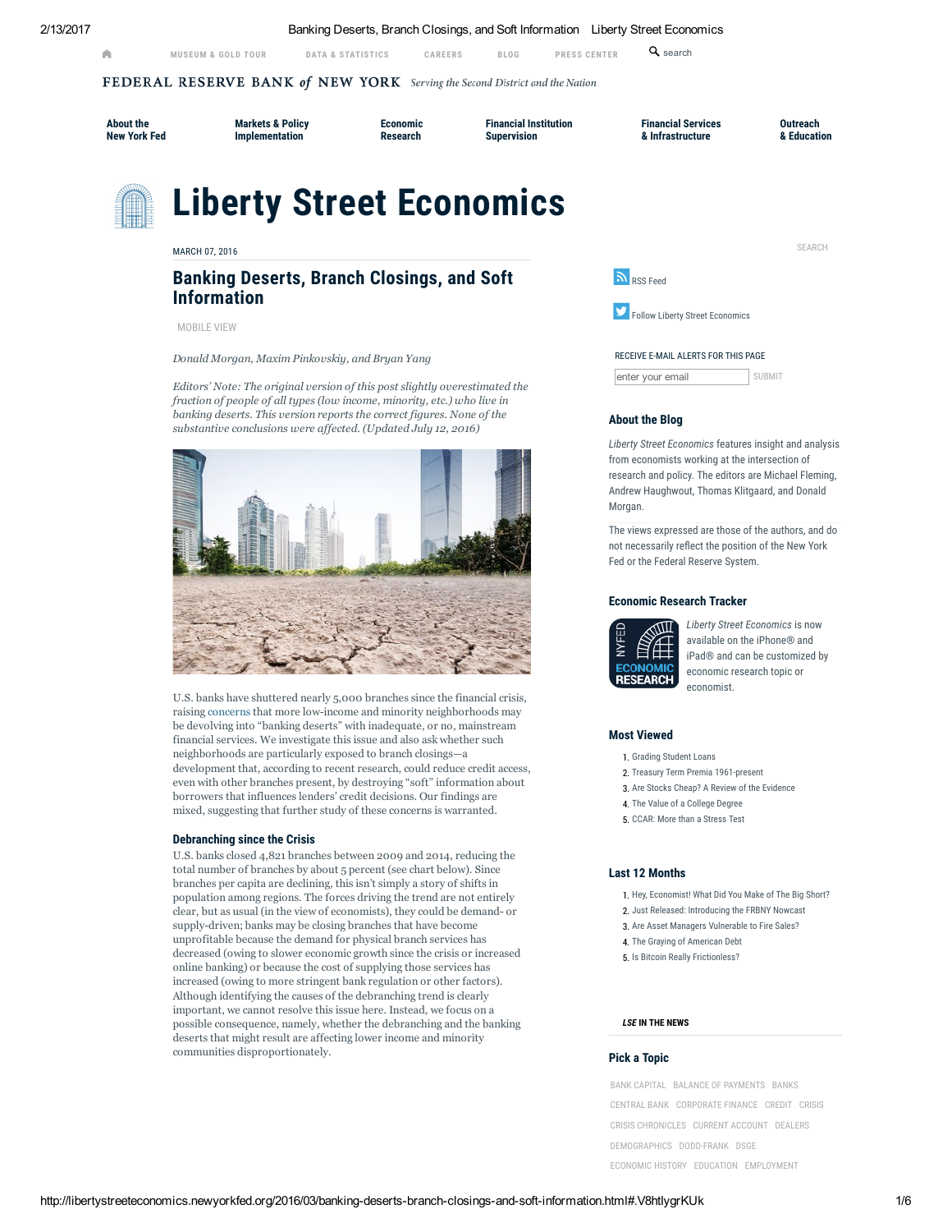2/13/2017 Banking Deserts, Branch Closings, and Soft Information Liberty Street Economics

[MUSEUM](https://www.newyorkfed.org/aboutthefed/visiting.html) & GOLD TOUR DATA & [STATISTICS](https://www.newyorkfed.org/data-and-statistics) [CAREERS](https://www.newyorkfed.org/careers) BLOG [PRESS](http://libertystreeteconomics.newyorkfed.org/) [CENTER](https://www.newyorkfed.org/press)

 $Q_{search}$ 

FEDERAL RESERVE BANK of NEW YORK Serving the Second District and the Nation

[About](https://www.newyorkfed.org/aboutthefed) the New York Fed Markets & Policy [Implementation](https://www.newyorkfed.org/markets)

[Economic](https://www.newyorkfed.org/research) Research

Financial Institution [Supervision](https://www.newyorkfed.org/financial-institution-supervision)

Financial Services & [Infrastructure](https://www.newyorkfed.org/financial-services-and-infrastructure)

**Outreach** & [Education](https://www.newyorkfed.org/outreach-and-education)

SEARCH

# Liberty Street Economics

MARCH 07, 2016

# Banking Deserts, Branch Closings, and Soft Information

[MOBILE](http://libertystreeteconomics.newyorkfed.org/.m/2016/03/banking-deserts-branch-closings-and-soft-information.html) VIEW

*Donald Morgan, Maxim Pinkovskiy, and Bryan Yang*

*Editors' Note: The original version of this post slightly overestimated the fraction of people of all types (low income, minority, etc.) who live in banking deserts. This version reports the correct figures. None of the substantive conclusions were affected. (Updated July 12, 2016)*



U.S. banks have shuttered nearly 5,000 branches since the financial crisis, raising [concerns](http://www.bloomberg.com/bw/articles/2013-05-09/bank-branches-disappear-from-poor-neighborhoods-like-longwood-bronx) that more low-income and minority neighborhoods may be devolving into "banking deserts" with inadequate, or no, mainstream financial services. We investigate this issue and also ask whether such neighborhoods are particularly exposed to branch closings—a development that, according to recent research, could reduce credit access, even with other branches present, by destroying "soft" information about borrowers that influences lenders' credit decisions. Our findings are mixed, suggesting that further study of these concerns is warranted.

# Debranching since the Crisis

U.S. banks closed 4,821 branches between 2009 and 2014, reducing the total number of branches by about 5 percent (see chart below). Since branches per capita are declining, this isn't simply a story of shifts in population among regions. The forces driving the trend are not entirely clear, but as usual (in the view of economists), they could be demand or supply-driven; banks may be closing branches that have become unprofitable because the demand for physical branch services has decreased (owing to slower economic growth since the crisis or increased online banking) or because the cost of supplying those services has increased (owing to more stringent bank regulation or other factors). Although identifying the causes of the debranching trend is clearly important, we cannot resolve this issue here. Instead, we focus on a possible consequence, namely, whether the debranching and the banking deserts that might result are affecting lower income and minority communities disproportionately.



**Follow Liberty Street [Economics](https://twitter.com/libertystecon)** 

#### RECEIVE E-MAIL ALERTS FOR THIS PAGE

enter your email SUBMIT

# About the Blog

Liberty Street Economics features insight and analysis from economists working at the intersection of research and policy. The editors are Michael Fleming, Andrew Haughwout, Thomas Klitgaard, and Donald Morgan.

The views expressed are those of the authors, and do not necessarily reflect the position of the New York Fed or the Federal Reserve System.

# Economic Research Tracker



[L](https://itunes.apple.com/us/app/economic-research-tracker/id1033616617)iberty Street Economics is now available on the iPhone® and iPad® and can be customized by economic research topic or economist.

# Most Viewed

- 1. Grading [Student](http://libertystreeteconomics.newyorkfed.org/2012/03/grading-student-loans.html) Loans
- 2. Treasury Term Premia [1961-present](http://libertystreeteconomics.newyorkfed.org/2014/05/treasury-term-premia-1961-present.html)
- 3. Are Stocks Cheap? A Review of the [Evidence](http://libertystreeteconomics.newyorkfed.org/2013/05/are-stocks-cheap-a-review-of-the-evidence.html)
- 4. The Value of a [College](http://libertystreeteconomics.newyorkfed.org/2014/09/the-value-of-a-college-degree.html) Degree
- 5. CCAR: More than a [Stress](http://libertystreeteconomics.newyorkfed.org/2012/07/ccar-more-than-a-stress-test.html) Test

# Last 12 Months

- 1. Hey, [Economist!](http://libertystreeteconomics.newyorkfed.org/2016/04/hey-economist-what-did-you-make-of-the-big-short.html) What Did You Make of The Big Short?
- 2. Just Released: [Introducing](http://libertystreeteconomics.newyorkfed.org/2016/04/just-released-introducing-the-frbny-nowcast.html) the FRBNY Nowcast
- 3. Are Asset Managers [Vulnerable](http://libertystreeteconomics.newyorkfed.org/2016/02/are-asset-managers-vulnerable-to-fire-sales.html) to Fire Sales?
- 4. The Graying of [American](http://libertystreeteconomics.newyorkfed.org/2016/02/the-graying-of-american-debt.html) Debt
- 5. Is Bitcoin Really [Frictionless?](http://libertystreeteconomics.newyorkfed.org/2016/03/is-bitcoin-really-frictionless.html)

## LSE IN THE NEWS

# Pick a Topic

BANK [CAPITAL](http://libertystreeteconomics.newyorkfed.org/bank-capital/) BALANCE OF [PAYMENTS](http://libertystreeteconomics.newyorkfed.org/balance-of-payments/) [BANKS](http://libertystreeteconomics.newyorkfed.org/banks/) [CENTRAL](http://libertystreeteconomics.newyorkfed.org/central-bank/) BANK [CORPORATE](http://libertystreeteconomics.newyorkfed.org/corporate-finance/) FINANCE [CREDIT](http://libertystreeteconomics.newyorkfed.org/credit/) [CRISIS](http://libertystreeteconomics.newyorkfed.org/crisis/) CRISIS [CHRONICLES](http://libertystreeteconomics.newyorkfed.org/crisis-chronicles/) CURRENT [ACCOUNT](http://libertystreeteconomics.newyorkfed.org/current-account/) [DEALERS](http://libertystreeteconomics.newyorkfed.org/dealers/) [DEMOGRAPHICS](http://libertystreeteconomics.newyorkfed.org/demographics/) [DODD-FRANK](http://libertystreeteconomics.newyorkfed.org/dodd-frank/) [DSGE](http://libertystreeteconomics.newyorkfed.org/household/) [ECONOMIC](http://libertystreeteconomics.newyorkfed.org/economic-history/) HISTORY [EDUCATION](http://libertystreeteconomics.newyorkfed.org/education/) [EMPLOYMENT](http://libertystreeteconomics.newyorkfed.org/employment/)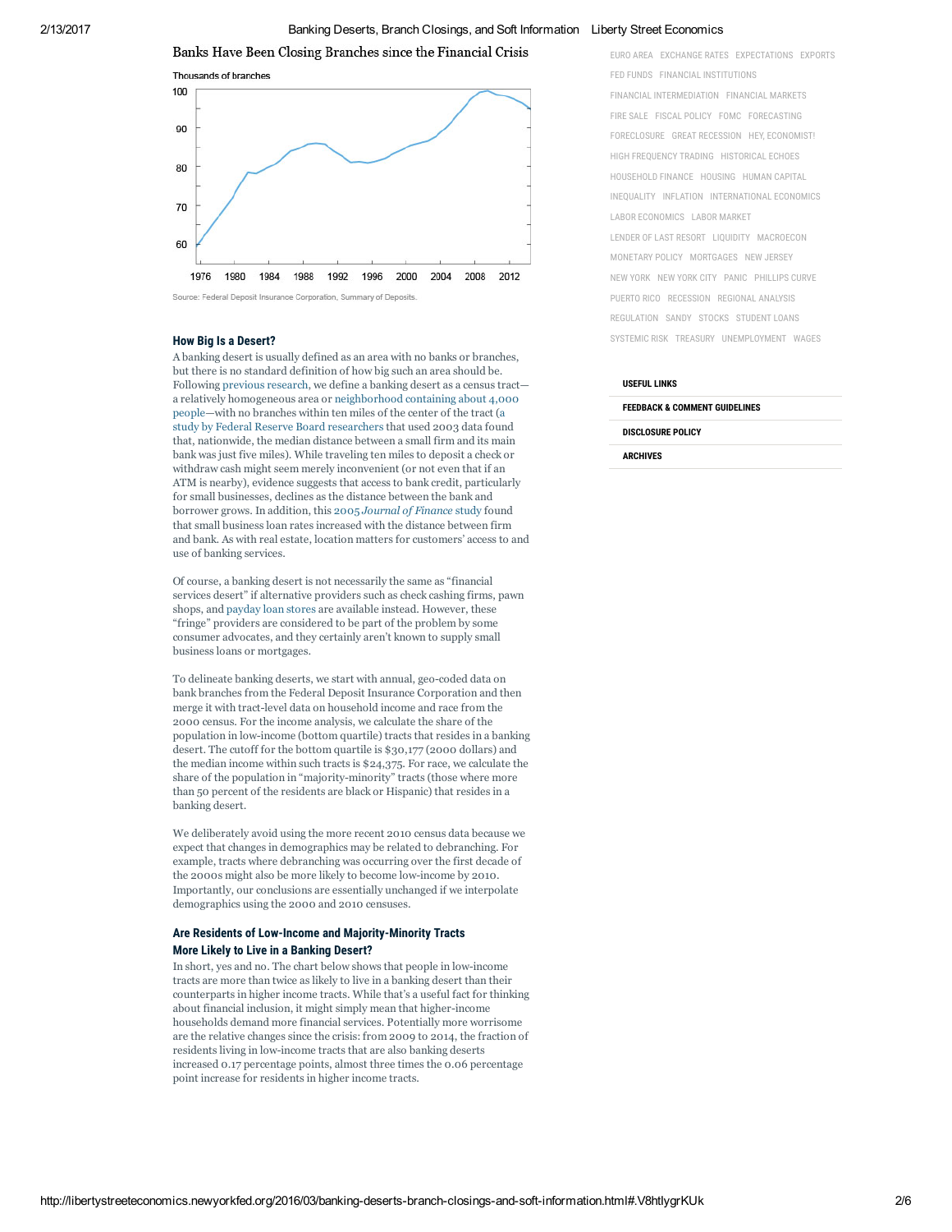2/13/2017 Banking Deserts, Branch Closings, and Soft Information Liberty Street Economics

Banks Have Been Closing Branches since the Financial Crisis



Source: Federal Deposit Insurance Corporation, Summary of Deposits

# How Big Is a Desert?

A banking desert is usually defined as an area with no banks or branches, but there is no standard definition of how big such an area should be. Following [previous](http://onlinelibrary.wiley.com/doi/10.1111/j.1538-4616.2010.00343.x/pdf) research, we define a banking desert as a census tract a relatively homogeneous area or [neighborhood](http://libguides.lib.msu.edu/tracts) containing about 4,000 [people—with](http://link.springer.com/chapter/10.1007/978-0-387-98078-2_3) no branches within ten miles of the center of the tract (a study by Federal Reserve Board researchers that used 2003 data found that, nationwide, the median distance between a small firm and its main bank was just five miles). While traveling ten miles to deposit a check or withdraw cash might seem merely inconvenient (or not even that if an ATM is nearby), evidence suggests that access to bank credit, particularly for small businesses, declines as the distance between the bank and borrower grows. In addition, this 2005 *[Journal](http://onlinelibrary.wiley.com/doi/10.1111/j.1540-6261.2005.00729.x/full) of Finance* study found that small business loan rates increased with the distance between firm and bank. As with real estate, location matters for customers' access to and use of banking services.

Of course, a banking desert is not necessarily the same as "financial services desert" if alternative providers such as check cashing firms, pawn shops, and [payday](http://libertystreeteconomics.newyorkfed.org/2015/10/reframing-the-debate-about-payday-lending.html) loan stores are available instead. However, these "fringe" providers are considered to be part of the problem by some consumer advocates, and they certainly aren't known to supply small business loans or mortgages.

To delineate banking deserts, we start with annual, geo-coded data on bank branches from the Federal Deposit Insurance Corporation and then merge it with tract-level data on household income and race from the 2000 census. For the income analysis, we calculate the share of the population in low-income (bottom quartile) tracts that resides in a banking desert. The cutoff for the bottom quartile is \$30,177 (2000 dollars) and the median income within such tracts is \$24,375. For race, we calculate the share of the population in "majority-minority" tracts (those where more than 50 percent of the residents are black or Hispanic) that resides in a banking desert.

We deliberately avoid using the more recent 2010 census data because we expect that changes in demographics may be related to debranching. For example, tracts where debranching was occurring over the first decade of the 2000s might also be more likely to become low-income by 2010. Importantly, our conclusions are essentially unchanged if we interpolate demographics using the 2000 and 2010 censuses.

# Are Residents of Low-Income and Majority-Minority Tracts More Likely to Live in a Banking Desert?

In short, yes and no. The chart below shows that people in lowincome tracts are more than twice as likely to live in a banking desert than their counterparts in higher income tracts. While that's a useful fact for thinking about financial inclusion, it might simply mean that higher-income households demand more financial services. Potentially more worrisome are the relative changes since the crisis: from 2009 to 2014, the fraction of residents living in low-income tracts that are also banking deserts increased 0.17 percentage points, almost three times the 0.06 percentage point increase for residents in higher income tracts.

[EURO](http://libertystreeteconomics.newyorkfed.org/euro-area/) AREA [EXCHANGE](http://libertystreeteconomics.newyorkfed.org/exchange-rates/) RATES [EXPECTATIONS](http://libertystreeteconomics.newyorkfed.org/expectations/) [EXPORTS](http://libertystreeteconomics.newyorkfed.org/exports/) FED [FUNDS](http://libertystreeteconomics.newyorkfed.org/fed-funds/) FINANCIAL [INSTITUTIONS](http://libertystreeteconomics.newyorkfed.org/financial-intermediation/) FINANCIAL [INTERMEDIATION](http://libertystreeteconomics.newyorkfed.org/financial-intermediation-1/) [FINANCIAL](http://libertystreeteconomics.newyorkfed.org/financial-markets/) MARKETS FIRE [SALE](http://libertystreeteconomics.newyorkfed.org/fire-sale/) FISCAL [POLICY](http://libertystreeteconomics.newyorkfed.org/fiscal-policy/) [FOMC](http://libertystreeteconomics.newyorkfed.org/fomc/) [FORECASTING](http://libertystreeteconomics.newyorkfed.org/forecasting/) [FORECLOSURE](http://libertystreeteconomics.newyorkfed.org/foreclosure/) GREAT [RECESSION](http://libertystreeteconomics.newyorkfed.org/great-recession/) HEY, [ECONOMIST!](http://libertystreeteconomics.newyorkfed.org/hey-economist/)

HIGH [FREQUENCY](http://libertystreeteconomics.newyorkfed.org/high-frequency-trading/) TRADING [HISTORICAL](http://libertystreeteconomics.newyorkfed.org/historical-echoes/) ECHOES [HOUSEHOLD](http://libertystreeteconomics.newyorkfed.org/household-finance/) FINANCE [HOUSING](http://libertystreeteconomics.newyorkfed.org/housing/) HUMAN [CAPITAL](http://libertystreeteconomics.newyorkfed.org/human-capital/) [INEQUALITY](http://libertystreeteconomics.newyorkfed.org/inequality/) [INFLATION](http://libertystreeteconomics.newyorkfed.org/inflation/) [INTERNATIONAL](http://libertystreeteconomics.newyorkfed.org/international-economics/) ECONOMICS LABOR [ECONOMICS](http://libertystreeteconomics.newyorkfed.org/labor-economics/) LABOR [MARKET](http://libertystreeteconomics.newyorkfed.org/labor-market/) LENDER OF LAST [RESORT](http://libertystreeteconomics.newyorkfed.org/lender-of-last-resort/) [LIQUIDITY](http://libertystreeteconomics.newyorkfed.org/liquidity/) [MACROECON](http://libertystreeteconomics.newyorkfed.org/macroeconomics/) [MONETARY](http://libertystreeteconomics.newyorkfed.org/monetary-policy/) POLICY [MORTGAGES](http://libertystreeteconomics.newyorkfed.org/mortgages/) NEW [JERSEY](http://libertystreeteconomics.newyorkfed.org/new-jersey/) NEW [YORK](http://libertystreeteconomics.newyorkfed.org/new-york/) NEW [YORK](http://libertystreeteconomics.newyorkfed.org/new-york-city/) CITY [PANIC](http://libertystreeteconomics.newyorkfed.org/panic/) [PHILLIPS](http://libertystreeteconomics.newyorkfed.org/phillips-curve/) CURVE [PUERTO](http://libertystreeteconomics.newyorkfed.org/puerto-rico/) RICO [RECESSION](http://libertystreeteconomics.newyorkfed.org/recession/) [REGIONAL](http://libertystreeteconomics.newyorkfed.org/regional-analysis/) ANALYSIS [REGULATION](http://libertystreeteconomics.newyorkfed.org/regulation/) [SANDY](http://libertystreeteconomics.newyorkfed.org/sandy/) [STOCKS](http://libertystreeteconomics.newyorkfed.org/stocks/) [STUDENT](http://libertystreeteconomics.newyorkfed.org/student-loans/) LOANS [SYSTEMIC](http://libertystreeteconomics.newyorkfed.org/systemic-risk/) RISK [TREASURY](http://libertystreeteconomics.newyorkfed.org/treasury/) [UNEMPLOYMENT](http://libertystreeteconomics.newyorkfed.org/unemployment/) [WAGES](http://libertystreeteconomics.newyorkfed.org/wages/)

# USEFUL LINKS

FEEDBACK & COMMENT GUIDELINES

DISCLOSURE POLICY

ARCHIVES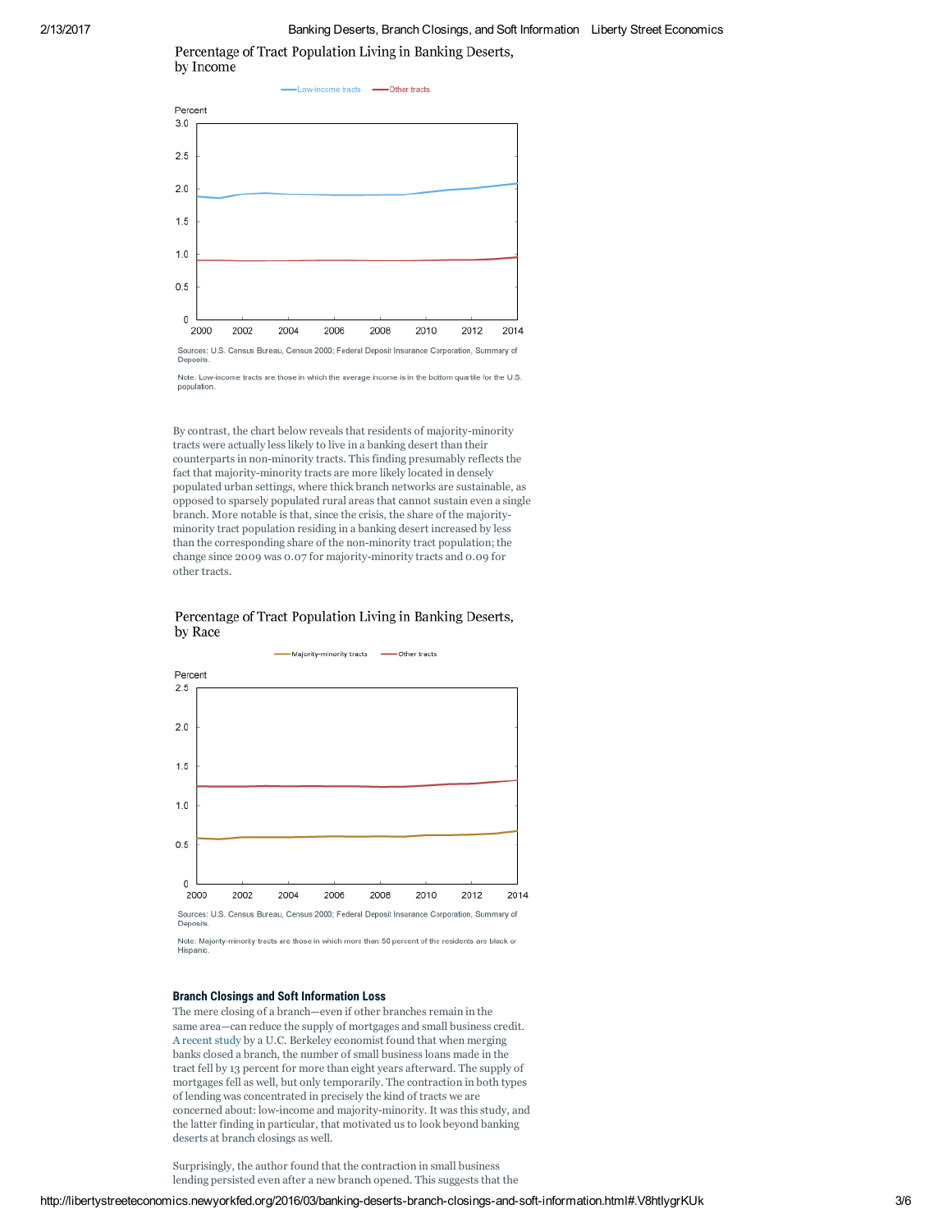# 2/13/2017 Banking Deserts, Branch Closings, and Soft Information Liberty Street Economics

Percentage of Tract Population Living in Banking Deserts, by Income



Denosity

Note: Low-in ome tracts are those in which the average income is in the bottom quartile for the U.S. populatio

By contrast, the chart below reveals that residents of majority-minority tracts were actually less likely to live in a banking desert than their counterparts in non-minority tracts. This finding presumably reflects the fact that majority-minority tracts are more likely located in densely populated urban settings, where thick branch networks are sustainable, as opposed to sparsely populated rural areas that cannot sustain even a single branch. More notable is that, since the crisis, the share of the majority minority tract population residing in a banking desert increased by less than the corresponding share of the non-minority tract population; the change since 2009 was 0.07 for majority-minority tracts and 0.09 for other tracts.

# Percentage of Tract Population Living in Banking Deserts, by Race



Note: Majority-minority tracts are those in which more than 50 percent of the residents are black or Hispanio

# Branch Closings and Soft Information Loss

The mere closing of a branch—even if other branches remain in the same area—can reduce the supply of mortgages and small business credit. A [recent](http://faculty.haas.berkeley.edu/hqn/nguyen_branches_20161001.pdf) study by a U.C. Berkeley economist found that when merging banks closed a branch, the number of small business loans made in the tract fell by 13 percent for more than eight years afterward. The supply of mortgages fell as well, but only temporarily. The contraction in both types of lending was concentrated in precisely the kind of tracts we are concerned about: low-income and majority-minority. It was this study, and the latter finding in particular, that motivated us to look beyond banking deserts at branch closings as well.

Surprisingly, the author found that the contraction in small business lending persisted even after a new branch opened. This suggests that the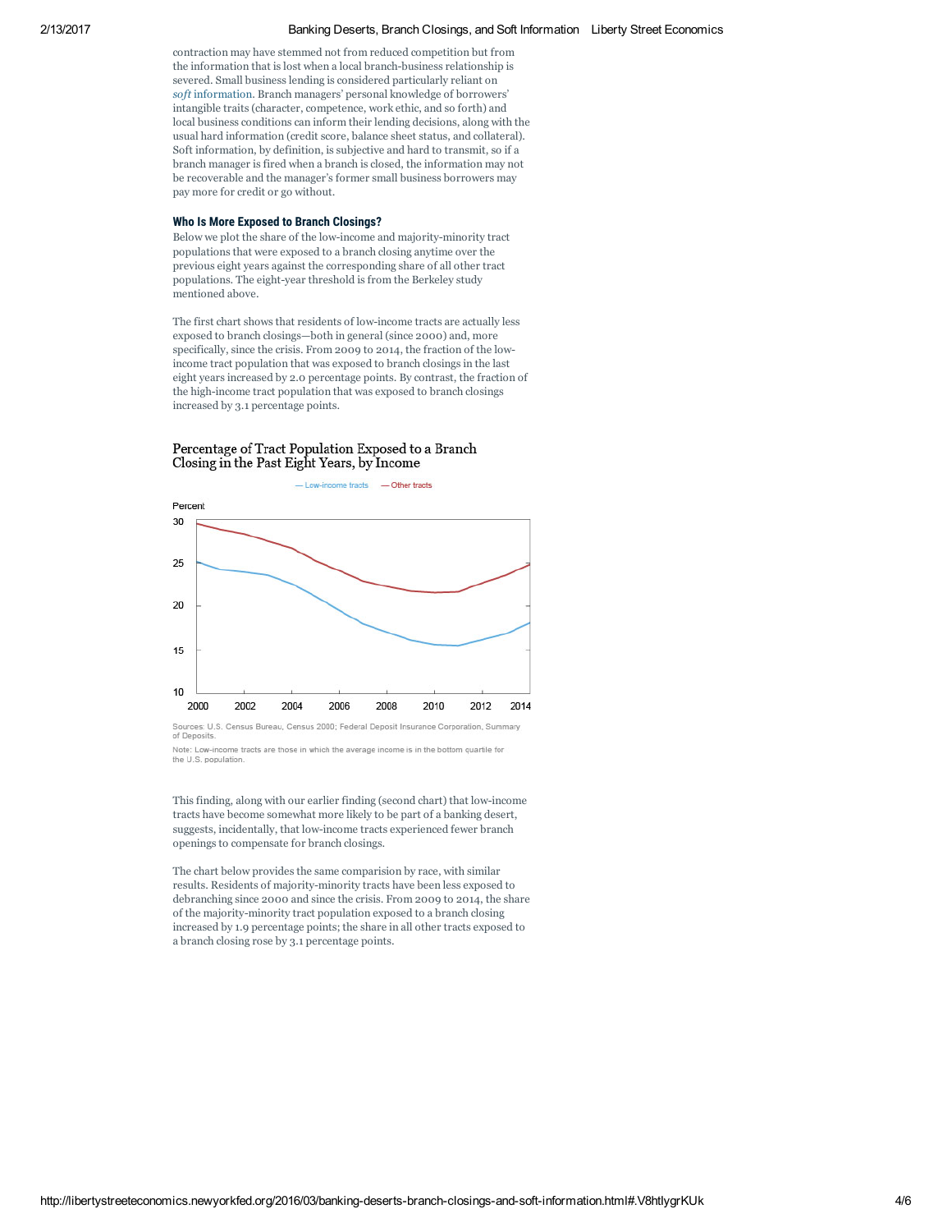contraction may have stemmed not from reduced competition but from the information that is lost when a local branch-business relationship is severed. Small business lending is considered particularly reliant on *[soft](https://www.chicagobooth.edu/capideas/summer02/banksize.html)* [information](https://www.chicagobooth.edu/capideas/summer02/banksize.html). Branch managers' personal knowledge of borrowers' intangible traits (character, competence, work ethic, and so forth) and local business conditions can inform their lending decisions, along with the usual hard information (credit score, balance sheet status, and collateral). Soft information, by definition, is subjective and hard to transmit, so if a branch manager is fired when a branch is closed, the information may not be recoverable and the manager's former small business borrowers may pay more for credit or go without.

#### Who Is More Exposed to Branch Closings?

Below we plot the share of the low-income and majority-minority tract populations that were exposed to a branch closing anytime over the previous eight years against the corresponding share of all other tract populations. The eight-year threshold is from the Berkeley study mentioned above.

The first chart shows that residents of low-income tracts are actually less exposed to branch closings—both in general (since 2000) and, more specifically, since the crisis. From 2009 to 2014, the fraction of the lowincome tract population that was exposed to branch closings in the last eight years increased by 2.0 percentage points. By contrast, the fraction of the high-income tract population that was exposed to branch closings increased by 3.1 percentage points.

# Percentage of Tract Population Exposed to a Branch Closing in the Past Eight Years, by Income



of Deposits. Note: Low-income tracts are those in which the average income is in the bottom quartile for

This finding, along with our earlier finding (second chart) that lowincome tracts have become somewhat more likely to be part of a banking desert, suggests, incidentally, that low-income tracts experienced fewer branch openings to compensate for branch closings.

The chart below provides the same comparision by race, with similar results. Residents of majority-minority tracts have been less exposed to debranching since 2000 and since the crisis. From 2009 to 2014, the share of the majority-minority tract population exposed to a branch closing increased by 1.9 percentage points; the share in all other tracts exposed to a branch closing rose by 3.1 percentage points.

the U.S. population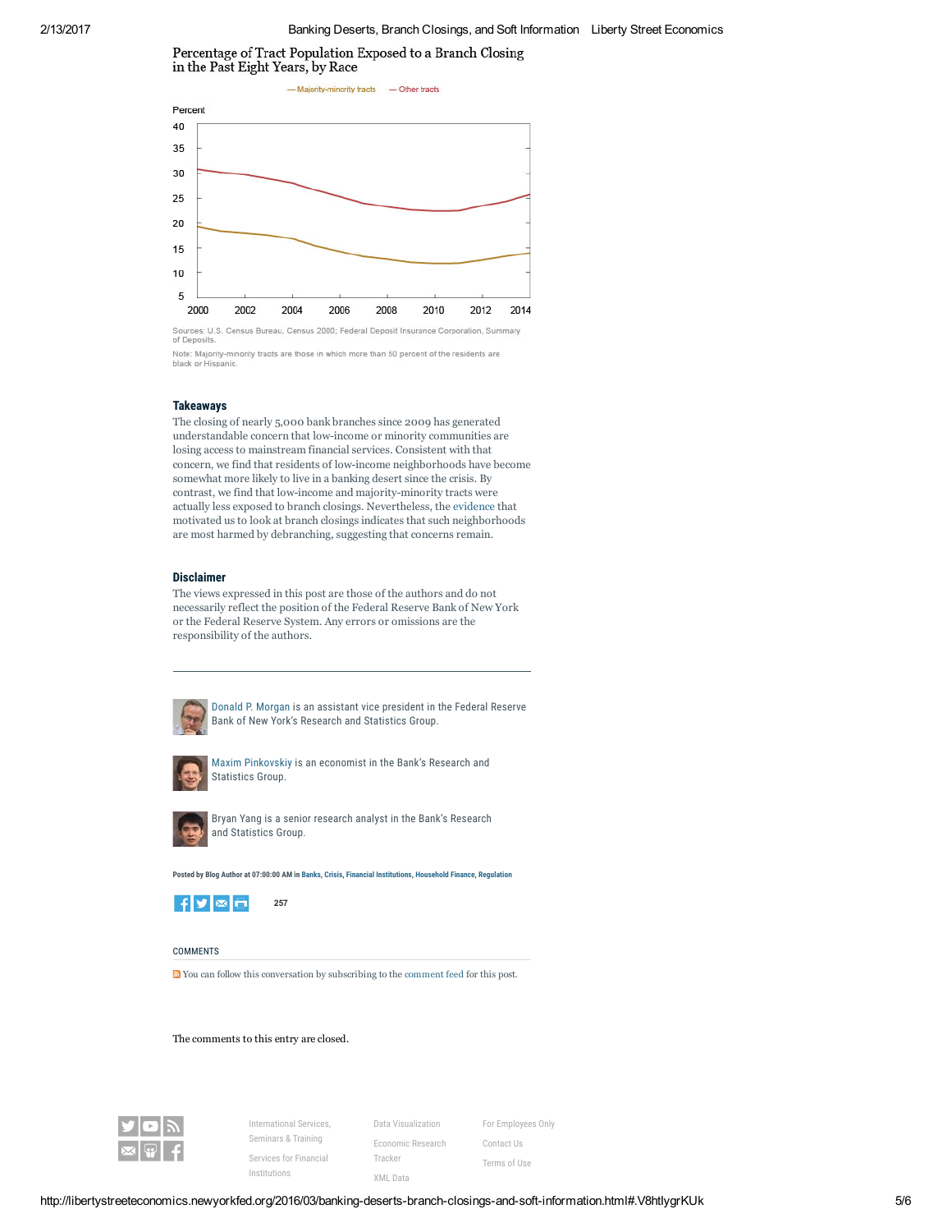Percentage of Tract Population Exposed to a Branch Closing in the Past Eight Years, by Race



of Dep Note: Majority-minority tracts are those in which more than 50 percent of the residents are

## **Takeaways**

black or Hispanic

The closing of nearly 5,000 bank branches since 2009 has generated understandable concern that low-income or minority communities are losing access to mainstream financial services. Consistent with that concern, we find that residents of low-income neighborhoods have become somewhat more likely to live in a banking desert since the crisis. By contrast, we find that low-income and majority-minority tracts were actually less exposed to branch closings. Nevertheless, the [evidence](http://faculty.haas.berkeley.edu/hqn/nguyen_branches_20151001.pdf) that motivated us to look at branch closings indicates that such neighborhoods are most harmed by debranching, suggesting that concerns remain.

#### Disclaimer

The views expressed in this post are those of the authors and do not necessarily reflect the position of the Federal Reserve Bank of New York or the Federal Reserve System. Any errors or omissions are the responsibility of the authors.



Donald P. [Morgan](https://www.newyorkfed.org/research/economists/morgan/index.html) is an assistant vice president in the Federal Reserve Bank of New York's Research and Statistics Group.



Maxim [Pinkovskiy](http://www.newyorkfed.org/research/economists/pinkovskiy/index.html) is an economist in the Bank's Research and Statistics Group.



Bryan Yang is a senior research analyst in the Bank's Research and Statistics Group.

Posted by Blog Author at 07:00:00 AM in [Banks](http://libertystreeteconomics.newyorkfed.org/banks/), [Crisis](http://libertystreeteconomics.newyorkfed.org/crisis/), Financial [Institutions,](http://libertystreeteconomics.newyorkfed.org/financial-intermediation/) [Household](http://libertystreeteconomics.newyorkfed.org/household-finance/) Finance, [Regulation](http://libertystreeteconomics.newyorkfed.org/regulation/)



# **COMMENTS**

You can follow this conversation by subscribing to the [comment](http://libertystreeteconomics.newyorkfed.org/2016/03/banking-deserts-branch-closings-and-soft-information/comments/atom.xml) feed for this post.

# The comments to this entry are closed.



[International](http://www.newyorkfed.org/banking/international.html) Services, Seminars & Training Services for Financial [Institutions](http://www.newyorkfed.org/banking/services)

[Economic](http://www.newyorkfed.org/digital-products/economic-research-tracker) Research Tracker [XML](http://www.newyorkfed.org/xml) Data

Data [Visualization](http://www.newyorkfed.org/data-and-statistics/data-visualization)

For [Employees](https://www.newyorkfed.org/employees/login.cfm?action=login&message=) Only [Contact](http://www.newyorkfed.org/contacts) Us [Terms](http://www.newyorkfed.org/termsofuse.html) of Use